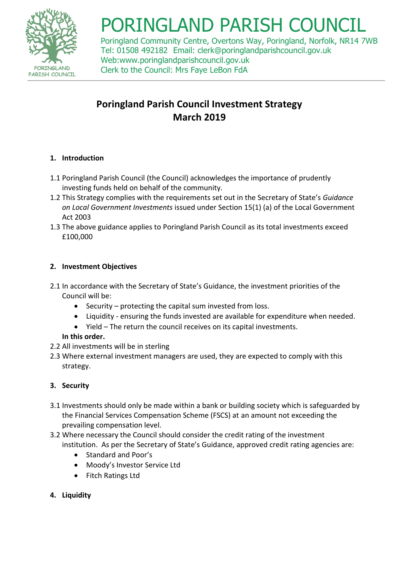

# PORINGLAND PARISH COUNCI

Poringland Community Centre, Overtons Way, Poringland, Norfolk, NR14 7WB Tel: 01508 492182 Email: [clerk@poringlandparishcouncil.gov.uk](mailto:poringland.pc@tiscali.co.uk) Web:www.poringlandparishcouncil.gov.uk Clerk to the Council: Mrs Faye LeBon FdA

# **Poringland Parish Council Investment Strategy March 2019**

# **1. Introduction**

- 1.1 Poringland Parish Council (the Council) acknowledges the importance of prudently investing funds held on behalf of the community.
- 1.2 This Strategy complies with the requirements set out in the Secretary of State's *Guidance on Local Government Investments* issued under Section 15(1) (a) of the Local Government Act 2003
- 1.3 The above guidance applies to Poringland Parish Council as its total investments exceed £100,000

# **2. Investment Objectives**

- 2.1 In accordance with the Secretary of State's Guidance, the investment priorities of the Council will be:
	- $\bullet$  Security protecting the capital sum invested from loss.
	- Liquidity ensuring the funds invested are available for expenditure when needed.
	- Yield The return the council receives on its capital investments.

# **In this order.**

- 2.2 All investments will be in sterling
- 2.3 Where external investment managers are used, they are expected to comply with this strategy.

# **3. Security**

- 3.1 Investments should only be made within a bank or building society which is safeguarded by the Financial Services Compensation Scheme (FSCS) at an amount not exceeding the prevailing compensation level.
- 3.2 Where necessary the Council should consider the credit rating of the investment institution. As per the Secretary of State's Guidance, approved credit rating agencies are:
	- Standard and Poor's
	- Moody's Investor Service Ltd
	- Fitch Ratings Ltd
- **4. Liquidity**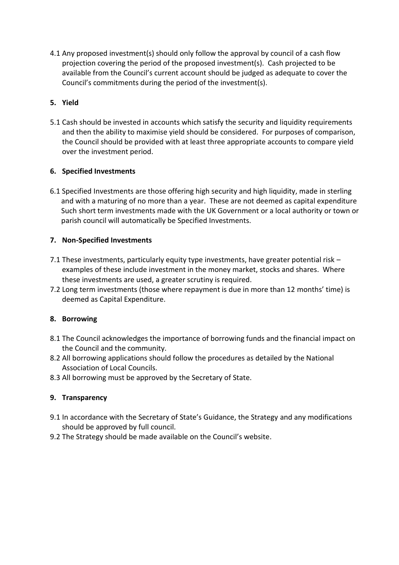4.1 Any proposed investment(s) should only follow the approval by council of a cash flow projection covering the period of the proposed investment(s). Cash projected to be available from the Council's current account should be judged as adequate to cover the Council's commitments during the period of the investment(s).

#### **5. Yield**

5.1 Cash should be invested in accounts which satisfy the security and liquidity requirements and then the ability to maximise yield should be considered. For purposes of comparison, the Council should be provided with at least three appropriate accounts to compare yield over the investment period.

#### **6. Specified Investments**

6.1 Specified Investments are those offering high security and high liquidity, made in sterling and with a maturing of no more than a year. These are not deemed as capital expenditure Such short term investments made with the UK Government or a local authority or town or parish council will automatically be Specified Investments.

#### **7. Non-Specified Investments**

- 7.1 These investments, particularly equity type investments, have greater potential risk examples of these include investment in the money market, stocks and shares. Where these investments are used, a greater scrutiny is required.
- 7.2 Long term investments (those where repayment is due in more than 12 months' time) is deemed as Capital Expenditure.

#### **8. Borrowing**

- 8.1 The Council acknowledges the importance of borrowing funds and the financial impact on the Council and the community.
- 8.2 All borrowing applications should follow the procedures as detailed by the National Association of Local Councils.
- 8.3 All borrowing must be approved by the Secretary of State.

#### **9. Transparency**

- 9.1 In accordance with the Secretary of State's Guidance, the Strategy and any modifications should be approved by full council.
- 9.2 The Strategy should be made available on the Council's website.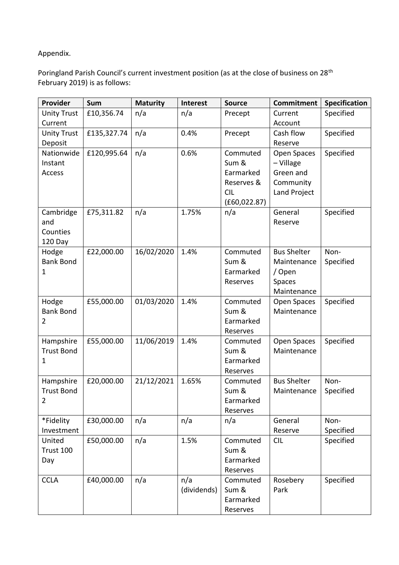#### Appendix.

Poringland Parish Council's current investment position (as at the close of business on 28<sup>th</sup> February 2019) is as follows:

| Provider           | <b>Sum</b>  | <b>Maturity</b> | Interest    | <b>Source</b> | <b>Commitment</b>          | <b>Specification</b> |
|--------------------|-------------|-----------------|-------------|---------------|----------------------------|----------------------|
| <b>Unity Trust</b> | £10,356.74  | n/a             | n/a         | Precept       | Current                    | Specified            |
| Current            |             |                 |             |               | Account                    |                      |
| <b>Unity Trust</b> | £135,327.74 | n/a             | 0.4%        | Precept       | Cash flow                  | Specified            |
| Deposit            |             |                 |             |               | Reserve                    |                      |
| Nationwide         | £120,995.64 | n/a             | 0.6%        | Commuted      | Open Spaces                | Specified            |
| Instant            |             |                 |             | Sum &         | - Village                  |                      |
| <b>Access</b>      |             |                 |             | Earmarked     | Green and                  |                      |
|                    |             |                 |             | Reserves &    | Community                  |                      |
|                    |             |                 |             | <b>CIL</b>    | Land Project               |                      |
|                    |             |                 |             | (E60, 022.87) |                            |                      |
| Cambridge          | £75,311.82  | n/a             | 1.75%       | n/a           | General                    | Specified            |
| and                |             |                 |             |               | Reserve                    |                      |
| Counties           |             |                 |             |               |                            |                      |
| 120 Day            |             |                 |             |               |                            |                      |
| Hodge              | £22,000.00  | 16/02/2020      | 1.4%        | Commuted      | <b>Bus Shelter</b>         | Non-                 |
| <b>Bank Bond</b>   |             |                 |             | Sum &         | Maintenance                | Specified            |
| 1                  |             |                 |             | Earmarked     | / Open                     |                      |
|                    |             |                 |             | Reserves      | Spaces                     |                      |
| Hodge              | £55,000.00  | 01/03/2020      | 1.4%        | Commuted      | Maintenance                | Specified            |
| <b>Bank Bond</b>   |             |                 |             | Sum &         | Open Spaces<br>Maintenance |                      |
| 2                  |             |                 |             | Earmarked     |                            |                      |
|                    |             |                 |             | Reserves      |                            |                      |
| Hampshire          | £55,000.00  | 11/06/2019      | 1.4%        | Commuted      | Open Spaces                | Specified            |
| <b>Trust Bond</b>  |             |                 |             | Sum &         | Maintenance                |                      |
| 1                  |             |                 |             | Earmarked     |                            |                      |
|                    |             |                 |             | Reserves      |                            |                      |
| Hampshire          | £20,000.00  | 21/12/2021      | 1.65%       | Commuted      | <b>Bus Shelter</b>         | Non-                 |
| <b>Trust Bond</b>  |             |                 |             | Sum &         | Maintenance                | Specified            |
| 2                  |             |                 |             | Earmarked     |                            |                      |
|                    |             |                 |             | Reserves      |                            |                      |
| *Fidelity          | £30,000.00  | n/a             | n/a         | n/a           | General                    | Non-                 |
| Investment         |             |                 |             |               | Reserve                    | Specified            |
| United             | £50,000.00  | n/a             | 1.5%        | Commuted      | <b>CIL</b>                 | Specified            |
| Trust 100          |             |                 |             | Sum &         |                            |                      |
| Day                |             |                 |             | Earmarked     |                            |                      |
|                    |             |                 |             | Reserves      |                            |                      |
| <b>CCLA</b>        | £40,000.00  | n/a             | n/a         | Commuted      | Rosebery                   | Specified            |
|                    |             |                 | (dividends) | Sum &         | Park                       |                      |
|                    |             |                 |             | Earmarked     |                            |                      |
|                    |             |                 |             | Reserves      |                            |                      |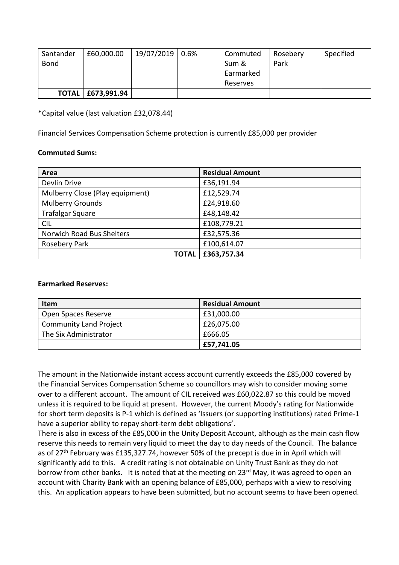| Santander   | £60,000.00          | 19/07/2019 0.6% | Commuted  | Rosebery | Specified |
|-------------|---------------------|-----------------|-----------|----------|-----------|
| <b>Bond</b> |                     |                 | Sum &     | Park     |           |
|             |                     |                 | Earmarked |          |           |
|             |                     |                 | Reserves  |          |           |
|             | TOTAL   £673,991.94 |                 |           |          |           |

\*Capital value (last valuation £32,078.44)

Financial Services Compensation Scheme protection is currently £85,000 per provider

#### **Commuted Sums:**

| Area                            | <b>Residual Amount</b> |
|---------------------------------|------------------------|
| Devlin Drive                    | £36,191.94             |
| Mulberry Close (Play equipment) | £12,529.74             |
| <b>Mulberry Grounds</b>         | £24,918.60             |
| <b>Trafalgar Square</b>         | £48,148.42             |
| <b>CIL</b>                      | £108,779.21            |
| Norwich Road Bus Shelters       | £32,575.36             |
| Rosebery Park                   | £100,614.07            |
| <b>TOTAL</b>                    | £363,757.34            |

#### **Earmarked Reserves:**

| <b>Item</b>                   | <b>Residual Amount</b> |
|-------------------------------|------------------------|
| Open Spaces Reserve           | £31,000.00             |
| <b>Community Land Project</b> | £26,075.00             |
| The Six Administrator         | £666.05                |
|                               | £57,741.05             |

The amount in the Nationwide instant access account currently exceeds the £85,000 covered by the Financial Services Compensation Scheme so councillors may wish to consider moving some over to a different account. The amount of CIL received was £60,022.87 so this could be moved unless it is required to be liquid at present. However, the current Moody's rating for Nationwide for short term deposits is P-1 which is defined as 'Issuers (or supporting institutions) rated Prime-1 have a superior ability to repay short-term debt obligations'.

There is also in excess of the £85,000 in the Unity Deposit Account, although as the main cash flow reserve this needs to remain very liquid to meet the day to day needs of the Council. The balance as of 27<sup>th</sup> February was £135,327.74, however 50% of the precept is due in in April which will significantly add to this. A credit rating is not obtainable on Unity Trust Bank as they do not borrow from other banks. It is noted that at the meeting on 23<sup>rd</sup> May, it was agreed to open an account with Charity Bank with an opening balance of £85,000, perhaps with a view to resolving this. An application appears to have been submitted, but no account seems to have been opened.